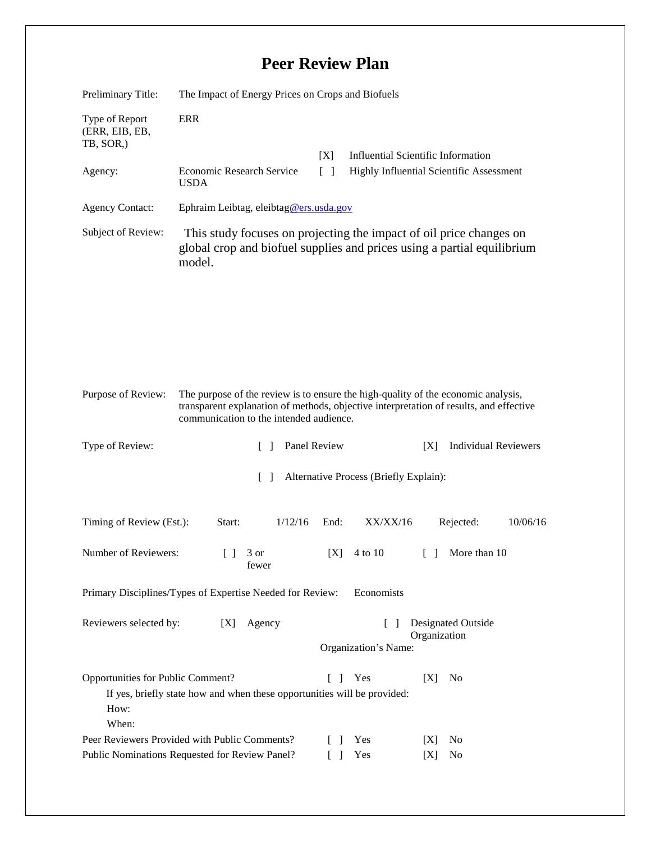## **Peer Review Plan**

| Preliminary Title:                                                                                                                                                                                                                           | The Impact of Energy Prices on Crops and Biofuels                                                                                                        |                                                             |                                                 |
|----------------------------------------------------------------------------------------------------------------------------------------------------------------------------------------------------------------------------------------------|----------------------------------------------------------------------------------------------------------------------------------------------------------|-------------------------------------------------------------|-------------------------------------------------|
| Type of Report<br>(ERR, EIB, EB,<br>TB, SOR,)                                                                                                                                                                                                | <b>ERR</b>                                                                                                                                               | [X]                                                         | <b>Influential Scientific Information</b>       |
| Agency:                                                                                                                                                                                                                                      | Economic Research Service<br><b>USDA</b>                                                                                                                 | $\lceil \rceil$<br>Highly Influential Scientific Assessment |                                                 |
| <b>Agency Contact:</b>                                                                                                                                                                                                                       | Ephraim Leibtag, eleibtag@ers.usda.gov                                                                                                                   |                                                             |                                                 |
| Subject of Review:                                                                                                                                                                                                                           | This study focuses on projecting the impact of oil price changes on<br>global crop and biofuel supplies and prices using a partial equilibrium<br>model. |                                                             |                                                 |
| Purpose of Review:<br>The purpose of the review is to ensure the high-quality of the economic analysis,<br>transparent explanation of methods, objective interpretation of results, and effective<br>communication to the intended audience. |                                                                                                                                                          |                                                             |                                                 |
| Type of Review:                                                                                                                                                                                                                              | $\Box$                                                                                                                                                   | Panel Review                                                | <b>Individual Reviewers</b><br>[X]              |
| Alternative Process (Briefly Explain):<br>$\lceil \rceil$                                                                                                                                                                                    |                                                                                                                                                          |                                                             |                                                 |
| Timing of Review (Est.):                                                                                                                                                                                                                     | 1/12/16<br>Start:                                                                                                                                        | XX/XX/16<br>End:                                            | Rejected:<br>10/06/16                           |
| Number of Reviewers:                                                                                                                                                                                                                         | $\begin{array}{c} \square \end{array}$<br>3 or<br>fewer                                                                                                  | [X]<br>4 to 10                                              | More than 10<br>$\begin{bmatrix} \end{bmatrix}$ |
| Primary Disciplines/Types of Expertise Needed for Review:<br>Economists                                                                                                                                                                      |                                                                                                                                                          |                                                             |                                                 |
| Reviewers selected by:                                                                                                                                                                                                                       | [X]<br>Agency                                                                                                                                            | $\Box$<br>Organization's Name:                              | <b>Designated Outside</b><br>Organization       |
| Opportunities for Public Comment?<br>Yes<br>[X]<br>No<br>L<br>$\perp$<br>If yes, briefly state how and when these opportunities will be provided:<br>How:<br>When:                                                                           |                                                                                                                                                          |                                                             |                                                 |
| Peer Reviewers Provided with Public Comments?<br>Public Nominations Requested for Review Panel?                                                                                                                                              |                                                                                                                                                          | Yes<br>$\mathbf{I}$<br>Yes<br>$\mathbf{I}$                  | N <sub>0</sub><br>[X]<br>No<br>[X]              |
|                                                                                                                                                                                                                                              |                                                                                                                                                          |                                                             |                                                 |